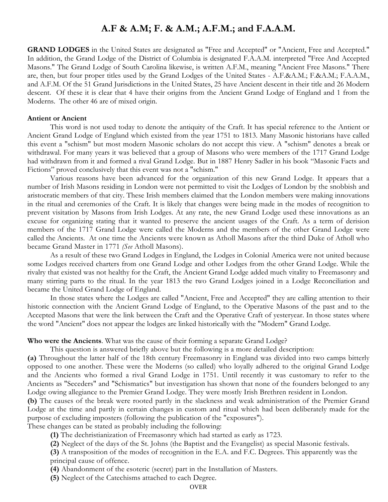## **A.F & A.M; F. & A.M.; A.F.M.; and F.A.A.M.**

**GRAND LODGES** in the United States are designated as "Free and Accepted" or "Ancient, Free and Accepted." In addition, the Grand Lodge of the District of Columbia is designated F.A.A.M. interpreted "Free And Accepted Masons." The Grand Lodge of South Carolina likewise, is written A.F.M., meaning "Ancient Free Masons." There are, then, but four proper titles used by the Grand Lodges of the United States - A.F.&A.M.; F.&A.M.; F.A.A.M., and A.F.M. Of the 51 Grand Jurisdictions in the United States, 25 have Ancient descent in their title and 26 Modern descent. Of these it is clear that 4 have their origins from the Ancient Grand Lodge of England and 1 from the Moderns. The other 46 are of mixed origin.

## **Antient or Ancient**

This word is not used today to denote the antiquity of the Craft. It has special reference to the Antient or Ancient Grand Lodge of England which existed from the year 1751 to 1813. Many Masonic historians have called this event a "schism" but most modern Masonic scholars do not accept this view. A "schism" denotes a break or withdrawal. For many years it was believed that a group of Masons who were members of the 1717 Grand Lodge had withdrawn from it and formed a rival Grand Lodge. But in 1887 Henry Sadler in his book "Masonic Facts and Fictions" proved conclusively that this event was not a "schism."

Various reasons have been advanced for the organization of this new Grand Lodge. It appears that a number of Irish Masons residing in London were not permitted to visit the Lodges of London by the snobbish and aristocratic members of that city. These Irish members claimed that the London members were making innovations in the ritual and ceremonies of the Craft. It is likely that changes were being made in the modes of recognition to prevent visitation by Masons from Irish Lodges. At any rate, the new Grand Lodge used these innovations as an excuse for organizing stating that it wanted to preserve the ancient usages of the Craft. As a term of derision members of the 1717 Grand Lodge were called the Moderns and the members of the other Grand Lodge were called the Ancients. At one time the Ancients were known as Atholl Masons after the third Duke of Atholl who became Grand Master in 1771 *(See* Atholl Masons).

As a result of these two Grand Lodges in England, the Lodges in Colonial America were not united because some Lodges received charters from one Grand Lodge and other Lodges from the other Grand Lodge. While the rivalry that existed was not healthy for the Craft, the Ancient Grand Lodge added much vitality to Freemasonry and many stirring parts to the ritual. In the year 1813 the two Grand Lodges joined in a Lodge Reconciliation and became the United Grand Lodge of England.

 In those states where the Lodges are called "Ancient, Free and Accepted" they are calling attention to their historic connection with the Ancient Grand Lodge of England, to the Operative Masons of the past and to the Accepted Masons that were the link between the Craft and the Operative Craft of yesteryear. In those states where the word "Ancient" does not appear the lodges are linked historically with the "Modern" Grand Lodge.

## **Who were the Ancients**. What was the cause of their forming a separate Grand Lodge?

This question is answered briefly above but the following is a more detailed description:

**(a)** Throughout the latter half of the 18th century Freemasonry in England was divided into two camps bitterly opposed to one another. These were the Moderns (so called) who loyally adhered to the original Grand Lodge and the Ancients who formed a rival Grand Lodge in 1751. Until recently it was customary to refer to the Ancients as "Seceders" and "Schismatics" but investigation has shown that none of the founders belonged to any Lodge owing allegiance to the Premier Grand Lodge. They were mostly Irish Brethren resident in London.

**(b)** The causes of the break were rooted partly in the slackness and weak administration of the Premier Grand Lodge at the time and partly in certain changes in custom and ritual which had been deliberately made for the purpose of excluding imposters (following the publication of the "exposures").

These changes can be stated as probably including the following:

- **(1)** The dechristianization of Freemasonry which had started as early as 1723.
- **(2)** Neglect of the days of the St. Johns (the Baptist and the Evangelist) as special Masonic festivals.

**(3)** A transposition of the modes of recognition in the E.A. and F.C. Degrees. This apparently was the principal cause of offence.

- **(4)** Abandonment of the esoteric (secret) part in the Installation of Masters.
- **(5)** Neglect of the Catechisms attached to each Degree.

## OVER